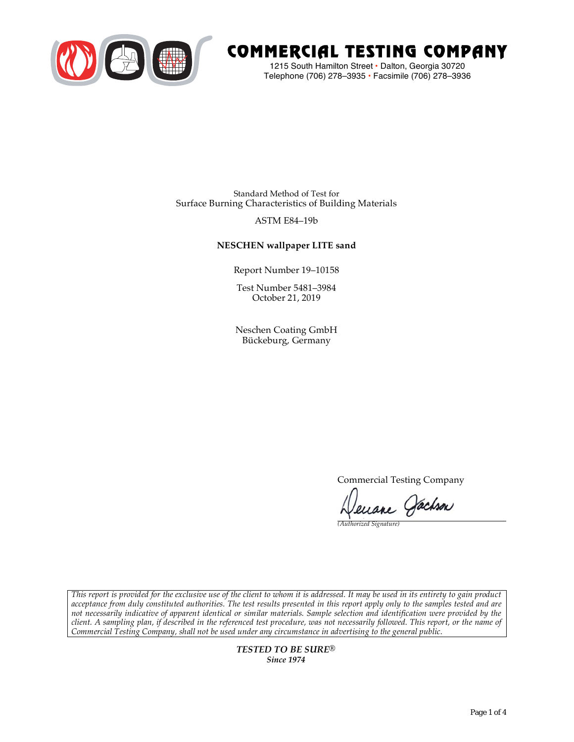

# COMMERCIAL TESTING COMPANY

1215 South Hamilton Street • Dalton, Georgia 30720 Telephone (706) 278–3935 **•** Facsimile (706) 278–3936

Standard Method of Test for Surface Burning Characteristics of Building Materials

# ASTM E84–19b

# **NESCHEN wallpaper LITE sand**

Report Number 19–10158

Test Number 5481–3984 October 21, 2019

Neschen Coating GmbH Bückeburg, Germany

Commercial Testing Company

Jenane Jachson

*(Authorized Signature)* 

*This report is provided for the exclusive use of the client to whom it is addressed. It may be used in its entirety to gain product acceptance from duly constituted authorities. The test results presented in this report apply only to the samples tested and are not necessarily indicative of apparent identical or similar materials. Sample selection and identification were provided by the client. A sampling plan, if described in the referenced test procedure, was not necessarily followed. This report, or the name of Commercial Testing Company, shall not be used under any circumstance in advertising to the general public.* 

> *TESTED TO BE SURE® Since 1974*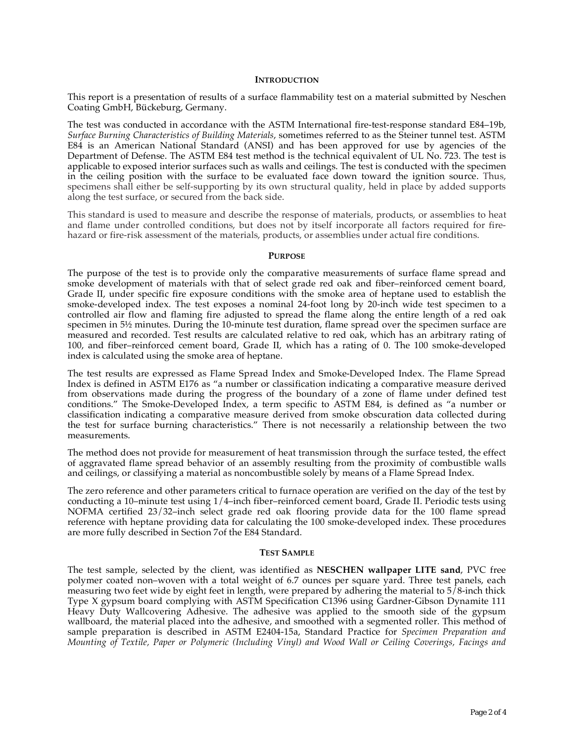#### **INTRODUCTION**

This report is a presentation of results of a surface flammability test on a material submitted by Neschen Coating GmbH, Bückeburg, Germany.

The test was conducted in accordance with the ASTM International fire-test-response standard E84–19b, *Surface Burning Characteristics of Building Materials*, sometimes referred to as the Steiner tunnel test. ASTM E84 is an American National Standard (ANSI) and has been approved for use by agencies of the Department of Defense. The ASTM E84 test method is the technical equivalent of UL No. 723. The test is applicable to exposed interior surfaces such as walls and ceilings. The test is conducted with the specimen in the ceiling position with the surface to be evaluated face down toward the ignition source. Thus, specimens shall either be self-supporting by its own structural quality, held in place by added supports along the test surface, or secured from the back side.

This standard is used to measure and describe the response of materials, products, or assemblies to heat and flame under controlled conditions, but does not by itself incorporate all factors required for firehazard or fire-risk assessment of the materials, products, or assemblies under actual fire conditions.

#### **PURPOSE**

The purpose of the test is to provide only the comparative measurements of surface flame spread and smoke development of materials with that of select grade red oak and fiber–reinforced cement board, Grade II, under specific fire exposure conditions with the smoke area of heptane used to establish the smoke-developed index. The test exposes a nominal 24-foot long by 20-inch wide test specimen to a controlled air flow and flaming fire adjusted to spread the flame along the entire length of a red oak specimen in  $5\frac{1}{2}$  minutes. During the 10-minute test duration, flame spread over the specimen surface are measured and recorded. Test results are calculated relative to red oak, which has an arbitrary rating of 100, and fiber–reinforced cement board, Grade II, which has a rating of 0. The 100 smoke-developed index is calculated using the smoke area of heptane.

The test results are expressed as Flame Spread Index and Smoke-Developed Index. The Flame Spread Index is defined in ASTM E176 as "a number or classification indicating a comparative measure derived from observations made during the progress of the boundary of a zone of flame under defined test conditions." The Smoke-Developed Index, a term specific to ASTM E84, is defined as "a number or classification indicating a comparative measure derived from smoke obscuration data collected during the test for surface burning characteristics." There is not necessarily a relationship between the two measurements.

The method does not provide for measurement of heat transmission through the surface tested, the effect of aggravated flame spread behavior of an assembly resulting from the proximity of combustible walls and ceilings, or classifying a material as noncombustible solely by means of a Flame Spread Index.

The zero reference and other parameters critical to furnace operation are verified on the day of the test by conducting a 10–minute test using 1/4–inch fiber–reinforced cement board, Grade II. Periodic tests using NOFMA certified 23/32–inch select grade red oak flooring provide data for the 100 flame spread reference with heptane providing data for calculating the 100 smoke-developed index. These procedures are more fully described in Section 7of the E84 Standard.

#### **TEST SAMPLE**

The test sample, selected by the client, was identified as **NESCHEN wallpaper LITE sand**, PVC free polymer coated non–woven with a total weight of 6.7 ounces per square yard. Three test panels, each measuring two feet wide by eight feet in length, were prepared by adhering the material to 5/8-inch thick Type X gypsum board complying with ASTM Specification C1396 using Gardner-Gibson Dynamite 111 Heavy Duty Wallcovering Adhesive. The adhesive was applied to the smooth side of the gypsum wallboard, the material placed into the adhesive, and smoothed with a segmented roller. This method of sample preparation is described in ASTM E2404-15a, Standard Practice for *Specimen Preparation and Mounting of Textile, Paper or Polymeric (Including Vinyl) and Wood Wall or Ceiling Coverings, Facings and*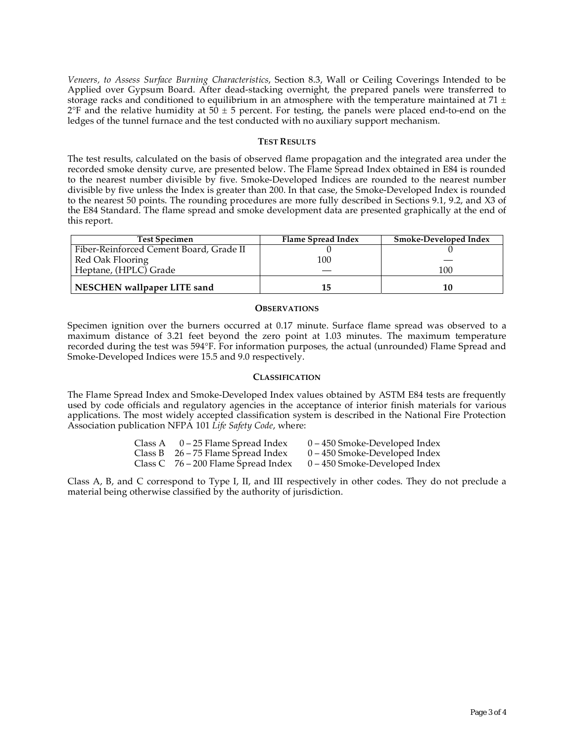*Veneers, to Assess Surface Burning Characteristics*, Section 8.3, Wall or Ceiling Coverings Intended to be Applied over Gypsum Board. After dead-stacking overnight, the prepared panels were transferred to storage racks and conditioned to equilibrium in an atmosphere with the temperature maintained at 71  $\pm$  $2^{\circ}F$  and the relative humidity at 50  $\pm$  5 percent. For testing, the panels were placed end-to-end on the ledges of the tunnel furnace and the test conducted with no auxiliary support mechanism.

#### **TEST RESULTS**

The test results, calculated on the basis of observed flame propagation and the integrated area under the recorded smoke density curve, are presented below. The Flame Spread Index obtained in E84 is rounded to the nearest number divisible by five. Smoke-Developed Indices are rounded to the nearest number divisible by five unless the Index is greater than 200. In that case, the Smoke-Developed Index is rounded to the nearest 50 points. The rounding procedures are more fully described in Sections 9.1, 9.2, and X3 of the E84 Standard. The flame spread and smoke development data are presented graphically at the end of this report.

| <b>Test Specimen</b>                    | Flame Spread Index | Smoke-Developed Index |
|-----------------------------------------|--------------------|-----------------------|
| Fiber-Reinforced Cement Board, Grade II |                    |                       |
| Red Oak Flooring                        | 100                |                       |
| Heptane, (HPLC) Grade                   |                    | 100                   |
| NESCHEN wallpaper LITE sand             | 15                 |                       |

#### **OBSERVATIONS**

Specimen ignition over the burners occurred at 0.17 minute. Surface flame spread was observed to a maximum distance of 3.21 feet beyond the zero point at 1.03 minutes. The maximum temperature recorded during the test was 594°F. For information purposes, the actual (unrounded) Flame Spread and Smoke-Developed Indices were 15.5 and 9.0 respectively.

### **CLASSIFICATION**

The Flame Spread Index and Smoke-Developed Index values obtained by ASTM E84 tests are frequently used by code officials and regulatory agencies in the acceptance of interior finish materials for various applications. The most widely accepted classification system is described in the National Fire Protection Association publication NFPA 101 *Life Safety Code*, where:

| Class A | 0 – 25 Flame Spread Index             | $0 - 450$ Smoke-Developed Index |
|---------|---------------------------------------|---------------------------------|
|         | Class B $26 - 75$ Flame Spread Index  | $0 - 450$ Smoke-Developed Index |
|         | Class C $76 - 200$ Flame Spread Index | $0 - 450$ Smoke-Developed Index |

Class A, B, and C correspond to Type I, II, and III respectively in other codes. They do not preclude a material being otherwise classified by the authority of jurisdiction.